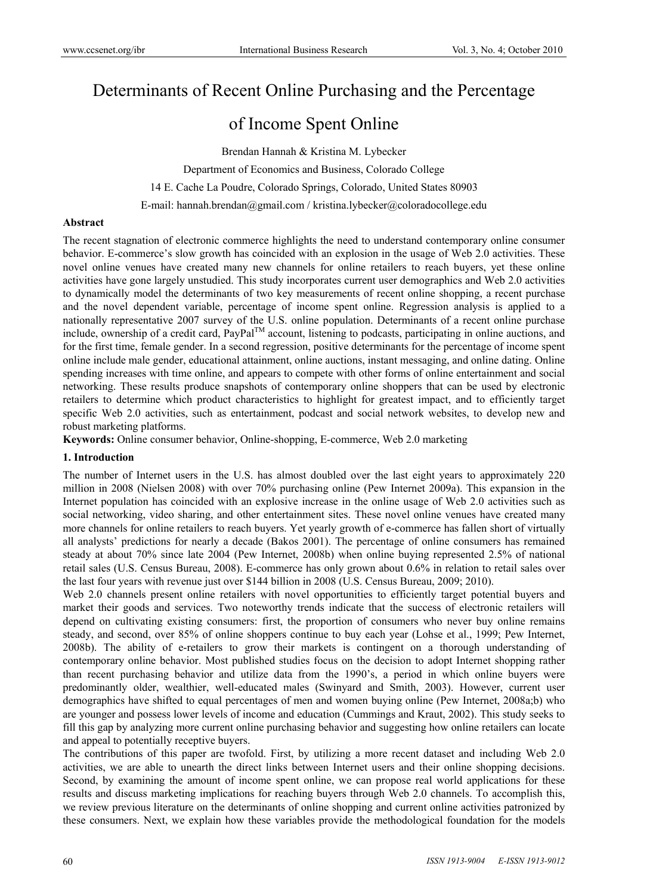# Determinants of Recent Online Purchasing and the Percentage

# of Income Spent Online

Brendan Hannah & Kristina M. Lybecker Department of Economics and Business, Colorado College 14 E. Cache La Poudre, Colorado Springs, Colorado, United States 80903 E-mail: hannah.brendan@gmail.com / kristina.lybecker@coloradocollege.edu

#### **Abstract**

The recent stagnation of electronic commerce highlights the need to understand contemporary online consumer behavior. E-commerce's slow growth has coincided with an explosion in the usage of Web 2.0 activities. These novel online venues have created many new channels for online retailers to reach buyers, yet these online activities have gone largely unstudied. This study incorporates current user demographics and Web 2.0 activities to dynamically model the determinants of two key measurements of recent online shopping, a recent purchase and the novel dependent variable, percentage of income spent online. Regression analysis is applied to a nationally representative 2007 survey of the U.S. online population. Determinants of a recent online purchase include, ownership of a credit card,  $PavPal^{TM}$  account, listening to podcasts, participating in online auctions, and for the first time, female gender. In a second regression, positive determinants for the percentage of income spent online include male gender, educational attainment, online auctions, instant messaging, and online dating. Online spending increases with time online, and appears to compete with other forms of online entertainment and social networking. These results produce snapshots of contemporary online shoppers that can be used by electronic retailers to determine which product characteristics to highlight for greatest impact, and to efficiently target specific Web 2.0 activities, such as entertainment, podcast and social network websites, to develop new and robust marketing platforms.

**Keywords:** Online consumer behavior, Online-shopping, E-commerce, Web 2.0 marketing

#### **1. Introduction**

The number of Internet users in the U.S. has almost doubled over the last eight years to approximately 220 million in 2008 (Nielsen 2008) with over 70% purchasing online (Pew Internet 2009a). This expansion in the Internet population has coincided with an explosive increase in the online usage of Web 2.0 activities such as social networking, video sharing, and other entertainment sites. These novel online venues have created many more channels for online retailers to reach buyers. Yet yearly growth of e-commerce has fallen short of virtually all analysts' predictions for nearly a decade (Bakos 2001). The percentage of online consumers has remained steady at about 70% since late 2004 (Pew Internet, 2008b) when online buying represented 2.5% of national retail sales (U.S. Census Bureau, 2008). E-commerce has only grown about 0.6% in relation to retail sales over the last four years with revenue just over \$144 billion in 2008 (U.S. Census Bureau, 2009; 2010).

Web 2.0 channels present online retailers with novel opportunities to efficiently target potential buyers and market their goods and services. Two noteworthy trends indicate that the success of electronic retailers will depend on cultivating existing consumers: first, the proportion of consumers who never buy online remains steady, and second, over 85% of online shoppers continue to buy each year (Lohse et al., 1999; Pew Internet, 2008b). The ability of e-retailers to grow their markets is contingent on a thorough understanding of contemporary online behavior. Most published studies focus on the decision to adopt Internet shopping rather than recent purchasing behavior and utilize data from the 1990's, a period in which online buyers were predominantly older, wealthier, well-educated males (Swinyard and Smith, 2003). However, current user demographics have shifted to equal percentages of men and women buying online (Pew Internet, 2008a;b) who are younger and possess lower levels of income and education (Cummings and Kraut, 2002). This study seeks to fill this gap by analyzing more current online purchasing behavior and suggesting how online retailers can locate and appeal to potentially receptive buyers.

The contributions of this paper are twofold. First, by utilizing a more recent dataset and including Web 2.0 activities, we are able to unearth the direct links between Internet users and their online shopping decisions. Second, by examining the amount of income spent online, we can propose real world applications for these results and discuss marketing implications for reaching buyers through Web 2.0 channels. To accomplish this, we review previous literature on the determinants of online shopping and current online activities patronized by these consumers. Next, we explain how these variables provide the methodological foundation for the models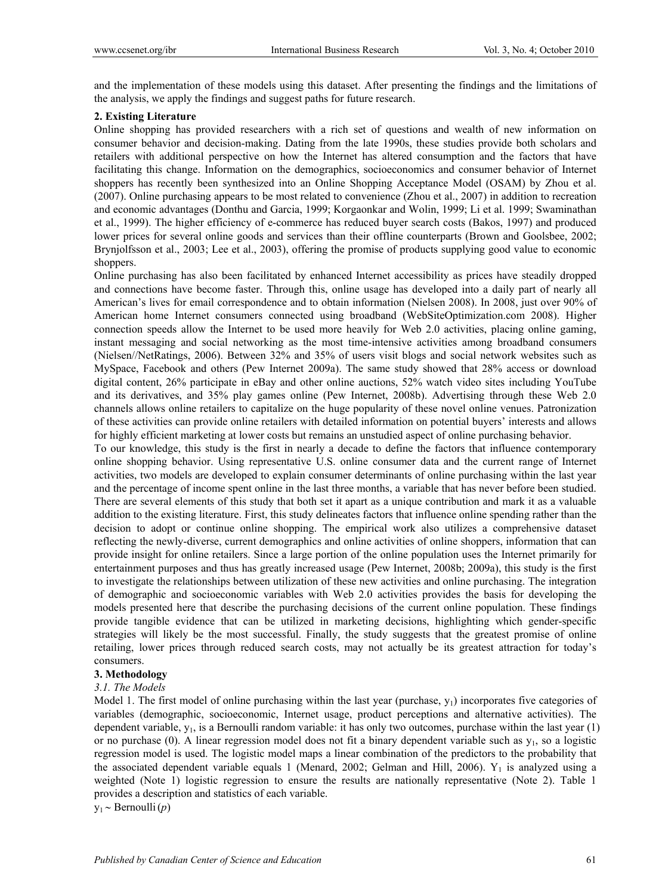and the implementation of these models using this dataset. After presenting the findings and the limitations of the analysis, we apply the findings and suggest paths for future research.

#### **2. Existing Literature**

Online shopping has provided researchers with a rich set of questions and wealth of new information on consumer behavior and decision-making. Dating from the late 1990s, these studies provide both scholars and retailers with additional perspective on how the Internet has altered consumption and the factors that have facilitating this change. Information on the demographics, socioeconomics and consumer behavior of Internet shoppers has recently been synthesized into an Online Shopping Acceptance Model (OSAM) by Zhou et al. (2007). Online purchasing appears to be most related to convenience (Zhou et al., 2007) in addition to recreation and economic advantages (Donthu and Garcia, 1999; Korgaonkar and Wolin, 1999; Li et al. 1999; Swaminathan et al., 1999). The higher efficiency of e-commerce has reduced buyer search costs (Bakos, 1997) and produced lower prices for several online goods and services than their offline counterparts (Brown and Goolsbee, 2002; Brynjolfsson et al., 2003; Lee et al., 2003), offering the promise of products supplying good value to economic shoppers.

Online purchasing has also been facilitated by enhanced Internet accessibility as prices have steadily dropped and connections have become faster. Through this, online usage has developed into a daily part of nearly all American's lives for email correspondence and to obtain information (Nielsen 2008). In 2008, just over 90% of American home Internet consumers connected using broadband (WebSiteOptimization.com 2008). Higher connection speeds allow the Internet to be used more heavily for Web 2.0 activities, placing online gaming, instant messaging and social networking as the most time-intensive activities among broadband consumers (Nielsen//NetRatings, 2006). Between 32% and 35% of users visit blogs and social network websites such as MySpace, Facebook and others (Pew Internet 2009a). The same study showed that 28% access or download digital content, 26% participate in eBay and other online auctions, 52% watch video sites including YouTube and its derivatives, and 35% play games online (Pew Internet, 2008b). Advertising through these Web 2.0 channels allows online retailers to capitalize on the huge popularity of these novel online venues. Patronization of these activities can provide online retailers with detailed information on potential buyers' interests and allows for highly efficient marketing at lower costs but remains an unstudied aspect of online purchasing behavior.

To our knowledge, this study is the first in nearly a decade to define the factors that influence contemporary online shopping behavior. Using representative U.S. online consumer data and the current range of Internet activities, two models are developed to explain consumer determinants of online purchasing within the last year and the percentage of income spent online in the last three months, a variable that has never before been studied. There are several elements of this study that both set it apart as a unique contribution and mark it as a valuable addition to the existing literature. First, this study delineates factors that influence online spending rather than the decision to adopt or continue online shopping. The empirical work also utilizes a comprehensive dataset reflecting the newly-diverse, current demographics and online activities of online shoppers, information that can provide insight for online retailers. Since a large portion of the online population uses the Internet primarily for entertainment purposes and thus has greatly increased usage (Pew Internet, 2008b; 2009a), this study is the first to investigate the relationships between utilization of these new activities and online purchasing. The integration of demographic and socioeconomic variables with Web 2.0 activities provides the basis for developing the models presented here that describe the purchasing decisions of the current online population. These findings provide tangible evidence that can be utilized in marketing decisions, highlighting which gender-specific strategies will likely be the most successful. Finally, the study suggests that the greatest promise of online retailing, lower prices through reduced search costs, may not actually be its greatest attraction for today's consumers.

### **3. Methodology**

#### *3.1. The Models*

Model 1. The first model of online purchasing within the last year (purchase,  $y_1$ ) incorporates five categories of variables (demographic, socioeconomic, Internet usage, product perceptions and alternative activities). The dependent variable,  $y_1$ , is a Bernoulli random variable: it has only two outcomes, purchase within the last year  $(1)$ or no purchase (0). A linear regression model does not fit a binary dependent variable such as  $y_1$ , so a logistic regression model is used. The logistic model maps a linear combination of the predictors to the probability that the associated dependent variable equals 1 (Menard, 2002; Gelman and Hill, 2006).  $Y_1$  is analyzed using a weighted (Note 1) logistic regression to ensure the results are nationally representative (Note 2). Table 1 provides a description and statistics of each variable.

 $y_1 \sim \text{Bernoulli}(p)$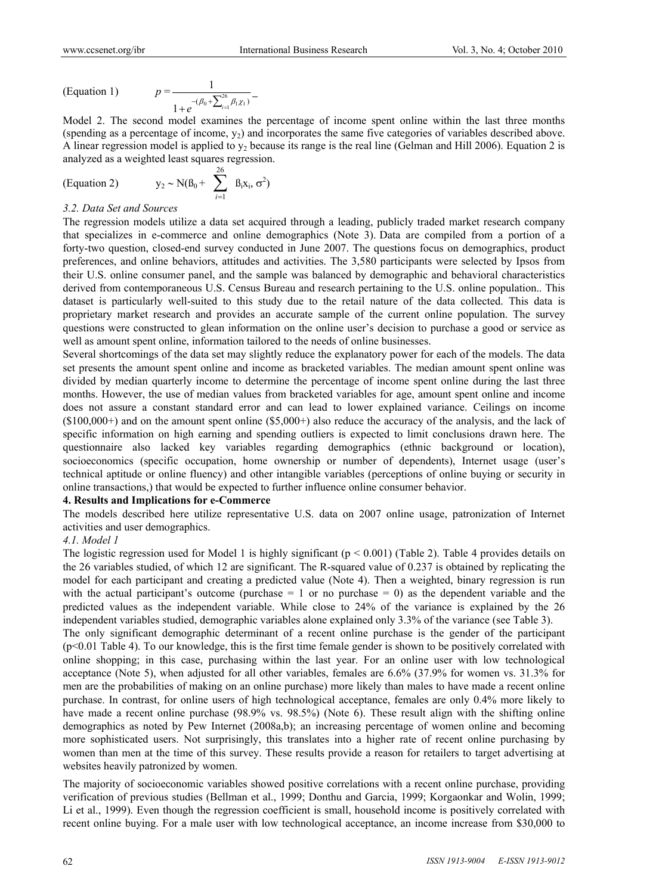$$
(Equation 1) \qquad p = \underline{\qquad 1}
$$

$$
-\frac{1}{1+e^{-(\beta_0+\sum_{i=1}^{26}\beta_1\chi_1)}}-
$$

Model 2. The second model examines the percentage of income spent online within the last three months (spending as a percentage of income,  $y_2$ ) and incorporates the same five categories of variables described above. A linear regression model is applied to  $y_2$  because its range is the real line (Gelman and Hill 2006). Equation 2 is analyzed as a weighted least squares regression.

$$
(Equation 2) \t y2 ~ N( $\beta_0$  +
$$

$$
\sim N(\beta_0 + \sum_{i=1}^{26} \beta_i x_i, \sigma^2)
$$

#### *3.2. Data Set and Sources*

The regression models utilize a data set acquired through a leading, publicly traded market research company that specializes in e-commerce and online demographics (Note 3). Data are compiled from a portion of a forty-two question, closed-end survey conducted in June 2007. The questions focus on demographics, product preferences, and online behaviors, attitudes and activities. The 3,580 participants were selected by Ipsos from their U.S. online consumer panel, and the sample was balanced by demographic and behavioral characteristics derived from contemporaneous U.S. Census Bureau and research pertaining to the U.S. online population.. This dataset is particularly well-suited to this study due to the retail nature of the data collected. This data is proprietary market research and provides an accurate sample of the current online population. The survey questions were constructed to glean information on the online user's decision to purchase a good or service as well as amount spent online, information tailored to the needs of online businesses.

Several shortcomings of the data set may slightly reduce the explanatory power for each of the models. The data set presents the amount spent online and income as bracketed variables. The median amount spent online was divided by median quarterly income to determine the percentage of income spent online during the last three months. However, the use of median values from bracketed variables for age, amount spent online and income does not assure a constant standard error and can lead to lower explained variance. Ceilings on income (\$100,000+) and on the amount spent online (\$5,000+) also reduce the accuracy of the analysis, and the lack of specific information on high earning and spending outliers is expected to limit conclusions drawn here. The questionnaire also lacked key variables regarding demographics (ethnic background or location), socioeconomics (specific occupation, home ownership or number of dependents), Internet usage (user's technical aptitude or online fluency) and other intangible variables (perceptions of online buying or security in online transactions,) that would be expected to further influence online consumer behavior.

#### **4. Results and Implications for e-Commerce**

The models described here utilize representative U.S. data on 2007 online usage, patronization of Internet activities and user demographics.

#### *4.1. Model 1*

The logistic regression used for Model 1 is highly significant ( $p \le 0.001$ ) (Table 2). Table 4 provides details on the 26 variables studied, of which 12 are significant. The R-squared value of 0.237 is obtained by replicating the model for each participant and creating a predicted value (Note 4). Then a weighted, binary regression is run with the actual participant's outcome (purchase  $= 1$  or no purchase  $= 0$ ) as the dependent variable and the predicted values as the independent variable. While close to 24% of the variance is explained by the 26 independent variables studied, demographic variables alone explained only 3.3% of the variance (see Table 3).

The only significant demographic determinant of a recent online purchase is the gender of the participant (p<0.01 Table 4). To our knowledge, this is the first time female gender is shown to be positively correlated with online shopping; in this case, purchasing within the last year. For an online user with low technological acceptance (Note 5), when adjusted for all other variables, females are 6.6% (37.9% for women vs. 31.3% for men are the probabilities of making on an online purchase) more likely than males to have made a recent online purchase. In contrast, for online users of high technological acceptance, females are only 0.4% more likely to have made a recent online purchase (98.9% vs. 98.5%) (Note 6). These result align with the shifting online demographics as noted by Pew Internet (2008a,b); an increasing percentage of women online and becoming more sophisticated users. Not surprisingly, this translates into a higher rate of recent online purchasing by women than men at the time of this survey. These results provide a reason for retailers to target advertising at websites heavily patronized by women.

The majority of socioeconomic variables showed positive correlations with a recent online purchase, providing verification of previous studies (Bellman et al., 1999; Donthu and Garcia, 1999; Korgaonkar and Wolin, 1999; Li et al., 1999). Even though the regression coefficient is small, household income is positively correlated with recent online buying. For a male user with low technological acceptance, an income increase from \$30,000 to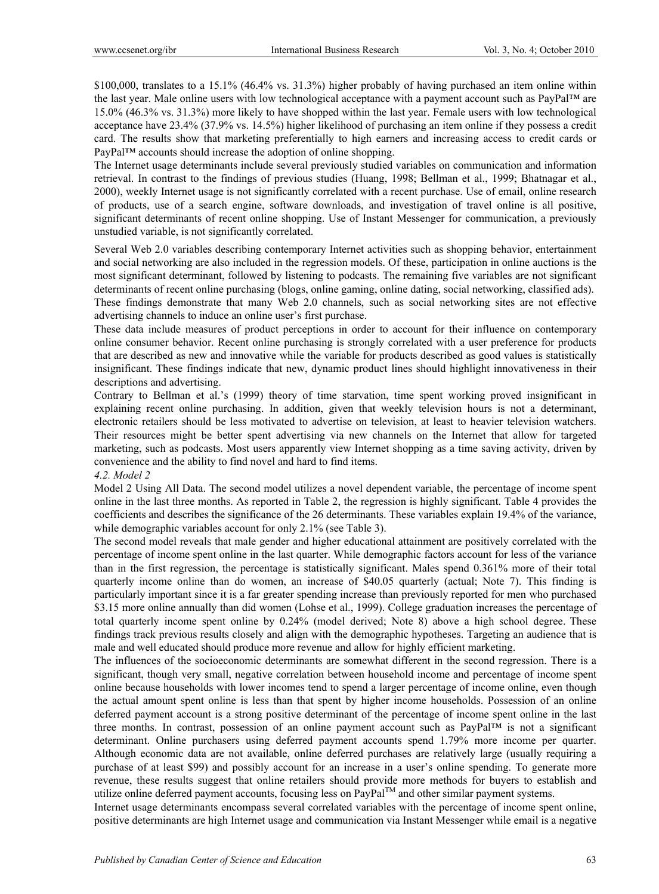\$100,000, translates to a 15.1% (46.4% vs. 31.3%) higher probably of having purchased an item online within the last year. Male online users with low technological acceptance with a payment account such as PayPal™ are 15.0% (46.3% vs. 31.3%) more likely to have shopped within the last year. Female users with low technological acceptance have 23.4% (37.9% vs. 14.5%) higher likelihood of purchasing an item online if they possess a credit card. The results show that marketing preferentially to high earners and increasing access to credit cards or PayPal™ accounts should increase the adoption of online shopping.

The Internet usage determinants include several previously studied variables on communication and information retrieval. In contrast to the findings of previous studies (Huang, 1998; Bellman et al., 1999; Bhatnagar et al., 2000), weekly Internet usage is not significantly correlated with a recent purchase. Use of email, online research of products, use of a search engine, software downloads, and investigation of travel online is all positive, significant determinants of recent online shopping. Use of Instant Messenger for communication, a previously unstudied variable, is not significantly correlated.

Several Web 2.0 variables describing contemporary Internet activities such as shopping behavior, entertainment and social networking are also included in the regression models. Of these, participation in online auctions is the most significant determinant, followed by listening to podcasts. The remaining five variables are not significant determinants of recent online purchasing (blogs, online gaming, online dating, social networking, classified ads). These findings demonstrate that many Web 2.0 channels, such as social networking sites are not effective

advertising channels to induce an online user's first purchase.

These data include measures of product perceptions in order to account for their influence on contemporary online consumer behavior. Recent online purchasing is strongly correlated with a user preference for products that are described as new and innovative while the variable for products described as good values is statistically insignificant. These findings indicate that new, dynamic product lines should highlight innovativeness in their descriptions and advertising.

Contrary to Bellman et al.'s (1999) theory of time starvation, time spent working proved insignificant in explaining recent online purchasing. In addition, given that weekly television hours is not a determinant, electronic retailers should be less motivated to advertise on television, at least to heavier television watchers. Their resources might be better spent advertising via new channels on the Internet that allow for targeted marketing, such as podcasts. Most users apparently view Internet shopping as a time saving activity, driven by convenience and the ability to find novel and hard to find items. *4.2. Model 2* 

Model 2 Using All Data. The second model utilizes a novel dependent variable, the percentage of income spent online in the last three months. As reported in Table 2, the regression is highly significant. Table 4 provides the coefficients and describes the significance of the 26 determinants. These variables explain 19.4% of the variance, while demographic variables account for only 2.1% (see Table 3).

The second model reveals that male gender and higher educational attainment are positively correlated with the percentage of income spent online in the last quarter. While demographic factors account for less of the variance than in the first regression, the percentage is statistically significant. Males spend 0.361% more of their total quarterly income online than do women, an increase of \$40.05 quarterly (actual; Note 7). This finding is particularly important since it is a far greater spending increase than previously reported for men who purchased \$3.15 more online annually than did women (Lohse et al., 1999). College graduation increases the percentage of total quarterly income spent online by 0.24% (model derived; Note 8) above a high school degree. These findings track previous results closely and align with the demographic hypotheses. Targeting an audience that is male and well educated should produce more revenue and allow for highly efficient marketing.

The influences of the socioeconomic determinants are somewhat different in the second regression. There is a significant, though very small, negative correlation between household income and percentage of income spent online because households with lower incomes tend to spend a larger percentage of income online, even though the actual amount spent online is less than that spent by higher income households. Possession of an online deferred payment account is a strong positive determinant of the percentage of income spent online in the last three months. In contrast, possession of an online payment account such as PayPal™ is not a significant determinant. Online purchasers using deferred payment accounts spend 1.79% more income per quarter. Although economic data are not available, online deferred purchases are relatively large (usually requiring a purchase of at least \$99) and possibly account for an increase in a user's online spending. To generate more revenue, these results suggest that online retailers should provide more methods for buyers to establish and utilize online deferred payment accounts, focusing less on  $PayPal<sup>TM</sup>$  and other similar payment systems.

Internet usage determinants encompass several correlated variables with the percentage of income spent online, positive determinants are high Internet usage and communication via Instant Messenger while email is a negative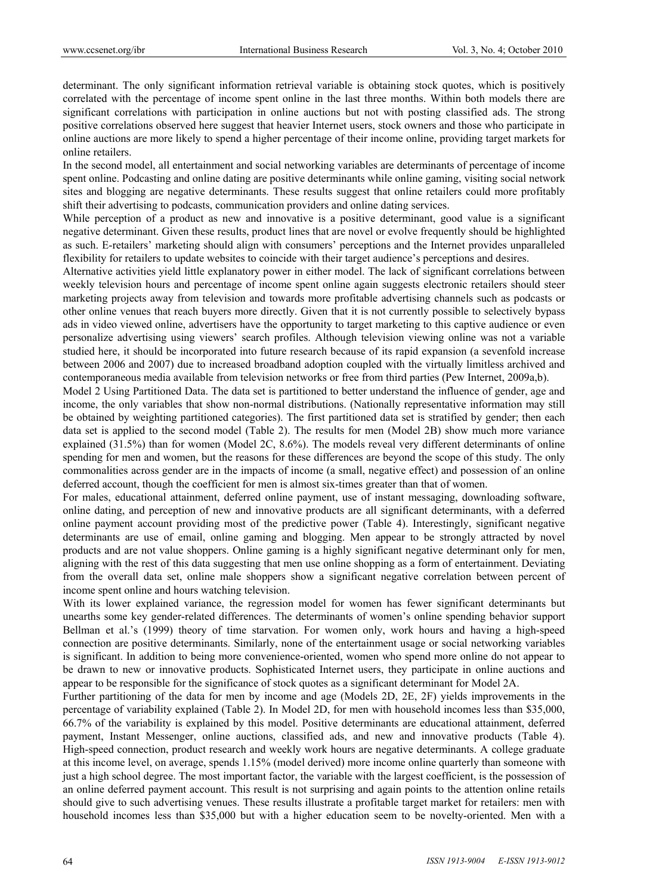determinant. The only significant information retrieval variable is obtaining stock quotes, which is positively correlated with the percentage of income spent online in the last three months. Within both models there are significant correlations with participation in online auctions but not with posting classified ads. The strong positive correlations observed here suggest that heavier Internet users, stock owners and those who participate in online auctions are more likely to spend a higher percentage of their income online, providing target markets for online retailers.

In the second model, all entertainment and social networking variables are determinants of percentage of income spent online. Podcasting and online dating are positive determinants while online gaming, visiting social network sites and blogging are negative determinants. These results suggest that online retailers could more profitably shift their advertising to podcasts, communication providers and online dating services.

While perception of a product as new and innovative is a positive determinant, good value is a significant negative determinant. Given these results, product lines that are novel or evolve frequently should be highlighted as such. E-retailers' marketing should align with consumers' perceptions and the Internet provides unparalleled flexibility for retailers to update websites to coincide with their target audience's perceptions and desires.

Alternative activities yield little explanatory power in either model. The lack of significant correlations between weekly television hours and percentage of income spent online again suggests electronic retailers should steer marketing projects away from television and towards more profitable advertising channels such as podcasts or other online venues that reach buyers more directly. Given that it is not currently possible to selectively bypass ads in video viewed online, advertisers have the opportunity to target marketing to this captive audience or even personalize advertising using viewers' search profiles. Although television viewing online was not a variable studied here, it should be incorporated into future research because of its rapid expansion (a sevenfold increase between 2006 and 2007) due to increased broadband adoption coupled with the virtually limitless archived and contemporaneous media available from television networks or free from third parties (Pew Internet, 2009a,b).

Model 2 Using Partitioned Data. The data set is partitioned to better understand the influence of gender, age and income, the only variables that show non-normal distributions. (Nationally representative information may still be obtained by weighting partitioned categories). The first partitioned data set is stratified by gender; then each data set is applied to the second model (Table 2). The results for men (Model 2B) show much more variance explained (31.5%) than for women (Model 2C, 8.6%). The models reveal very different determinants of online spending for men and women, but the reasons for these differences are beyond the scope of this study. The only commonalities across gender are in the impacts of income (a small, negative effect) and possession of an online deferred account, though the coefficient for men is almost six-times greater than that of women.

For males, educational attainment, deferred online payment, use of instant messaging, downloading software, online dating, and perception of new and innovative products are all significant determinants, with a deferred online payment account providing most of the predictive power (Table 4). Interestingly, significant negative determinants are use of email, online gaming and blogging. Men appear to be strongly attracted by novel products and are not value shoppers. Online gaming is a highly significant negative determinant only for men, aligning with the rest of this data suggesting that men use online shopping as a form of entertainment. Deviating from the overall data set, online male shoppers show a significant negative correlation between percent of income spent online and hours watching television.

With its lower explained variance, the regression model for women has fewer significant determinants but unearths some key gender-related differences. The determinants of women's online spending behavior support Bellman et al.'s (1999) theory of time starvation. For women only, work hours and having a high-speed connection are positive determinants. Similarly, none of the entertainment usage or social networking variables is significant. In addition to being more convenience-oriented, women who spend more online do not appear to be drawn to new or innovative products. Sophisticated Internet users, they participate in online auctions and appear to be responsible for the significance of stock quotes as a significant determinant for Model 2A.

Further partitioning of the data for men by income and age (Models 2D, 2E, 2F) yields improvements in the percentage of variability explained (Table 2). In Model 2D, for men with household incomes less than \$35,000, 66.7% of the variability is explained by this model. Positive determinants are educational attainment, deferred payment, Instant Messenger, online auctions, classified ads, and new and innovative products (Table 4). High-speed connection, product research and weekly work hours are negative determinants. A college graduate at this income level, on average, spends 1.15% (model derived) more income online quarterly than someone with just a high school degree. The most important factor, the variable with the largest coefficient, is the possession of an online deferred payment account. This result is not surprising and again points to the attention online retails should give to such advertising venues. These results illustrate a profitable target market for retailers: men with household incomes less than \$35,000 but with a higher education seem to be novelty-oriented. Men with a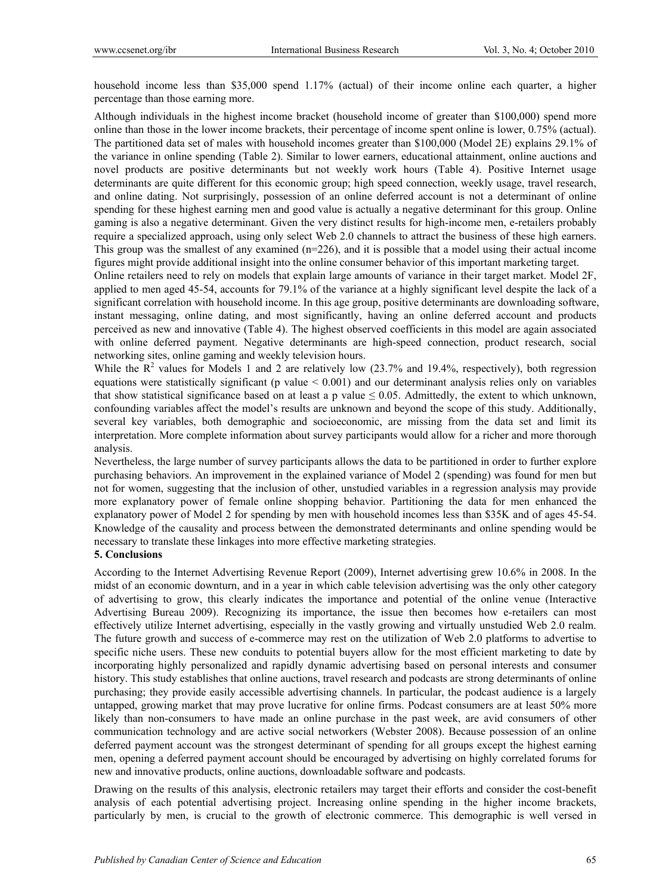household income less than \$35,000 spend 1.17% (actual) of their income online each quarter, a higher percentage than those earning more.

Although individuals in the highest income bracket (household income of greater than \$100,000) spend more online than those in the lower income brackets, their percentage of income spent online is lower, 0.75% (actual). The partitioned data set of males with household incomes greater than \$100,000 (Model 2E) explains 29.1% of the variance in online spending (Table 2). Similar to lower earners, educational attainment, online auctions and novel products are positive determinants but not weekly work hours (Table 4). Positive Internet usage determinants are quite different for this economic group; high speed connection, weekly usage, travel research, and online dating. Not surprisingly, possession of an online deferred account is not a determinant of online spending for these highest earning men and good value is actually a negative determinant for this group. Online gaming is also a negative determinant. Given the very distinct results for high-income men, e-retailers probably require a specialized approach, using only select Web 2.0 channels to attract the business of these high earners. This group was the smallest of any examined ( $n=226$ ), and it is possible that a model using their actual income figures might provide additional insight into the online consumer behavior of this important marketing target.

Online retailers need to rely on models that explain large amounts of variance in their target market. Model 2F, applied to men aged 45-54, accounts for 79.1% of the variance at a highly significant level despite the lack of a significant correlation with household income. In this age group, positive determinants are downloading software, instant messaging, online dating, and most significantly, having an online deferred account and products perceived as new and innovative (Table 4). The highest observed coefficients in this model are again associated with online deferred payment. Negative determinants are high-speed connection, product research, social networking sites, online gaming and weekly television hours.

While the  $\mathbb{R}^2$  values for Models 1 and 2 are relatively low (23.7% and 19.4%, respectively), both regression equations were statistically significant (p value  $\leq 0.001$ ) and our determinant analysis relies only on variables that show statistical significance based on at least a p value  $\leq 0.05$ . Admittedly, the extent to which unknown, confounding variables affect the model's results are unknown and beyond the scope of this study. Additionally, several key variables, both demographic and socioeconomic, are missing from the data set and limit its interpretation. More complete information about survey participants would allow for a richer and more thorough analysis.

Nevertheless, the large number of survey participants allows the data to be partitioned in order to further explore purchasing behaviors. An improvement in the explained variance of Model 2 (spending) was found for men but not for women, suggesting that the inclusion of other, unstudied variables in a regression analysis may provide more explanatory power of female online shopping behavior. Partitioning the data for men enhanced the explanatory power of Model 2 for spending by men with household incomes less than \$35K and of ages 45-54. Knowledge of the causality and process between the demonstrated determinants and online spending would be necessary to translate these linkages into more effective marketing strategies.

#### **5. Conclusions**

According to the Internet Advertising Revenue Report (2009), Internet advertising grew 10.6% in 2008. In the midst of an economic downturn, and in a year in which cable television advertising was the only other category of advertising to grow, this clearly indicates the importance and potential of the online venue (Interactive Advertising Bureau 2009). Recognizing its importance, the issue then becomes how e-retailers can most effectively utilize Internet advertising, especially in the vastly growing and virtually unstudied Web 2.0 realm. The future growth and success of e-commerce may rest on the utilization of Web 2.0 platforms to advertise to specific niche users. These new conduits to potential buyers allow for the most efficient marketing to date by incorporating highly personalized and rapidly dynamic advertising based on personal interests and consumer history. This study establishes that online auctions, travel research and podcasts are strong determinants of online purchasing; they provide easily accessible advertising channels. In particular, the podcast audience is a largely untapped, growing market that may prove lucrative for online firms. Podcast consumers are at least 50% more likely than non-consumers to have made an online purchase in the past week, are avid consumers of other communication technology and are active social networkers (Webster 2008). Because possession of an online deferred payment account was the strongest determinant of spending for all groups except the highest earning men, opening a deferred payment account should be encouraged by advertising on highly correlated forums for new and innovative products, online auctions, downloadable software and podcasts.

Drawing on the results of this analysis, electronic retailers may target their efforts and consider the cost-benefit analysis of each potential advertising project. Increasing online spending in the higher income brackets, particularly by men, is crucial to the growth of electronic commerce. This demographic is well versed in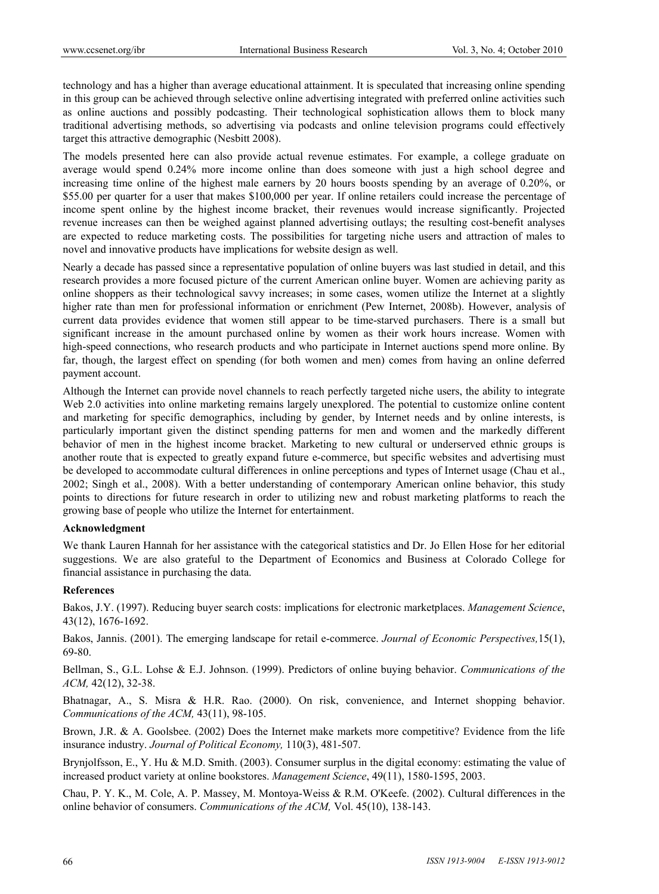technology and has a higher than average educational attainment. It is speculated that increasing online spending in this group can be achieved through selective online advertising integrated with preferred online activities such as online auctions and possibly podcasting. Their technological sophistication allows them to block many traditional advertising methods, so advertising via podcasts and online television programs could effectively target this attractive demographic (Nesbitt 2008).

The models presented here can also provide actual revenue estimates. For example, a college graduate on average would spend 0.24% more income online than does someone with just a high school degree and increasing time online of the highest male earners by 20 hours boosts spending by an average of 0.20%, or \$55.00 per quarter for a user that makes \$100,000 per year. If online retailers could increase the percentage of income spent online by the highest income bracket, their revenues would increase significantly. Projected revenue increases can then be weighed against planned advertising outlays; the resulting cost-benefit analyses are expected to reduce marketing costs. The possibilities for targeting niche users and attraction of males to novel and innovative products have implications for website design as well.

Nearly a decade has passed since a representative population of online buyers was last studied in detail, and this research provides a more focused picture of the current American online buyer. Women are achieving parity as online shoppers as their technological savvy increases; in some cases, women utilize the Internet at a slightly higher rate than men for professional information or enrichment (Pew Internet, 2008b). However, analysis of current data provides evidence that women still appear to be time-starved purchasers. There is a small but significant increase in the amount purchased online by women as their work hours increase. Women with high-speed connections, who research products and who participate in Internet auctions spend more online. By far, though, the largest effect on spending (for both women and men) comes from having an online deferred payment account.

Although the Internet can provide novel channels to reach perfectly targeted niche users, the ability to integrate Web 2.0 activities into online marketing remains largely unexplored. The potential to customize online content and marketing for specific demographics, including by gender, by Internet needs and by online interests, is particularly important given the distinct spending patterns for men and women and the markedly different behavior of men in the highest income bracket. Marketing to new cultural or underserved ethnic groups is another route that is expected to greatly expand future e-commerce, but specific websites and advertising must be developed to accommodate cultural differences in online perceptions and types of Internet usage (Chau et al., 2002; Singh et al., 2008). With a better understanding of contemporary American online behavior, this study points to directions for future research in order to utilizing new and robust marketing platforms to reach the growing base of people who utilize the Internet for entertainment.

#### **Acknowledgment**

We thank Lauren Hannah for her assistance with the categorical statistics and Dr. Jo Ellen Hose for her editorial suggestions. We are also grateful to the Department of Economics and Business at Colorado College for financial assistance in purchasing the data.

#### **References**

Bakos, J.Y. (1997). Reducing buyer search costs: implications for electronic marketplaces. *Management Science*, 43(12), 1676-1692.

Bakos, Jannis. (2001). The emerging landscape for retail e-commerce. *Journal of Economic Perspectives,*15(1), 69-80.

Bellman, S., G.L. Lohse & E.J. Johnson. (1999). Predictors of online buying behavior. *Communications of the ACM,* 42(12), 32-38.

Bhatnagar, A., S. Misra & H.R. Rao. (2000). On risk, convenience, and Internet shopping behavior. *Communications of the ACM,* 43(11), 98-105.

Brown, J.R. & A. Goolsbee. (2002) Does the Internet make markets more competitive? Evidence from the life insurance industry. *Journal of Political Economy,* 110(3), 481-507.

Brynjolfsson, E., Y. Hu & M.D. Smith. (2003). Consumer surplus in the digital economy: estimating the value of increased product variety at online bookstores. *Management Science*, 49(11), 1580-1595, 2003.

Chau, P. Y. K., M. Cole, A. P. Massey, M. Montoya-Weiss & R.M. O'Keefe. (2002). Cultural differences in the online behavior of consumers. *Communications of the ACM,* Vol. 45(10), 138-143.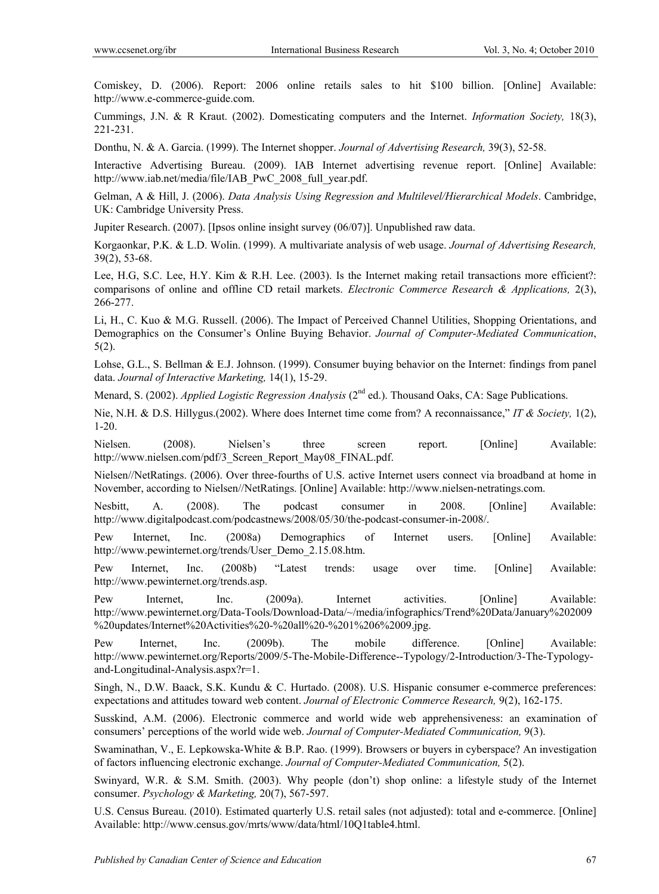Comiskey, D. (2006). Report: 2006 online retails sales to hit \$100 billion. [Online] Available: http://www.e-commerce-guide.com.

Cummings, J.N. & R Kraut. (2002). Domesticating computers and the Internet. *Information Society,* 18(3), 221-231.

Donthu, N. & A. Garcia. (1999). The Internet shopper. *Journal of Advertising Research,* 39(3), 52-58.

Interactive Advertising Bureau. (2009). IAB Internet advertising revenue report. [Online] Available: http://www.iab.net/media/file/IAB\_PwC\_2008\_full\_year.pdf.

Gelman, A & Hill, J. (2006). *Data Analysis Using Regression and Multilevel/Hierarchical Models*. Cambridge, UK: Cambridge University Press.

Jupiter Research. (2007). [Ipsos online insight survey (06/07)]. Unpublished raw data.

Korgaonkar, P.K. & L.D. Wolin. (1999). A multivariate analysis of web usage. *Journal of Advertising Research,* 39(2), 53-68.

Lee, H.G, S.C. Lee, H.Y. Kim & R.H. Lee. (2003). Is the Internet making retail transactions more efficient?: comparisons of online and offline CD retail markets. *Electronic Commerce Research & Applications,* 2(3), 266-277.

Li, H., C. Kuo & M.G. Russell. (2006). The Impact of Perceived Channel Utilities, Shopping Orientations, and Demographics on the Consumer's Online Buying Behavior. *Journal of Computer-Mediated Communication*, 5(2).

Lohse, G.L., S. Bellman & E.J. Johnson. (1999). Consumer buying behavior on the Internet: findings from panel data. *Journal of Interactive Marketing,* 14(1), 15-29.

Menard, S. (2002). *Applied Logistic Regression Analysis* (2<sup>nd</sup> ed.). Thousand Oaks, CA: Sage Publications.

Nie, N.H. & D.S. Hillygus.(2002). Where does Internet time come from? A reconnaissance," *IT & Society,* 1(2), 1-20.

Nielsen. (2008). Nielsen's three screen report. [Online] Available: http://www.nielsen.com/pdf/3\_Screen\_Report\_May08\_FINAL.pdf.

Nielsen//NetRatings. (2006). Over three-fourths of U.S. active Internet users connect via broadband at home in November, according to Nielsen//NetRatings. [Online] Available: http://www.nielsen-netratings.com.

Nesbitt, A. (2008). The podcast consumer in 2008. [Online] Available: http://www.digitalpodcast.com/podcastnews/2008/05/30/the-podcast-consumer-in-2008/.

Pew Internet, Inc. (2008a) Demographics of Internet users. [Online] Available: http://www.pewinternet.org/trends/User\_Demo\_2.15.08.htm.

Pew Internet, Inc. (2008b) "Latest trends: usage over time. [Online] Available: http://www.pewinternet.org/trends.asp.

Pew Internet, Inc. (2009a). Internet activities. [Online] Available: http://www.pewinternet.org/Data-Tools/Download-Data/~/media/infographics/Trend%20Data/January%202009 %20updates/Internet%20Activities%20-%20all%20-%201%206%2009.jpg.

Pew Internet, Inc. (2009b). The mobile difference. [Online] Available: http://www.pewinternet.org/Reports/2009/5-The-Mobile-Difference--Typology/2-Introduction/3-The-Typologyand-Longitudinal-Analysis.aspx?r=1.

Singh, N., D.W. Baack, S.K. Kundu & C. Hurtado. (2008). U.S. Hispanic consumer e-commerce preferences: expectations and attitudes toward web content. *Journal of Electronic Commerce Research,* 9(2), 162-175.

Susskind, A.M. (2006). Electronic commerce and world wide web apprehensiveness: an examination of consumers' perceptions of the world wide web. *Journal of Computer-Mediated Communication,* 9(3).

Swaminathan, V., E. Lepkowska-White & B.P. Rao. (1999). Browsers or buyers in cyberspace? An investigation of factors influencing electronic exchange. *Journal of Computer-Mediated Communication,* 5(2).

Swinyard, W.R. & S.M. Smith. (2003). Why people (don't) shop online: a lifestyle study of the Internet consumer. *Psychology & Marketing,* 20(7), 567-597.

U.S. Census Bureau. (2010). Estimated quarterly U.S. retail sales (not adjusted): total and e-commerce. [Online] Available: http://www.census.gov/mrts/www/data/html/10Q1table4.html.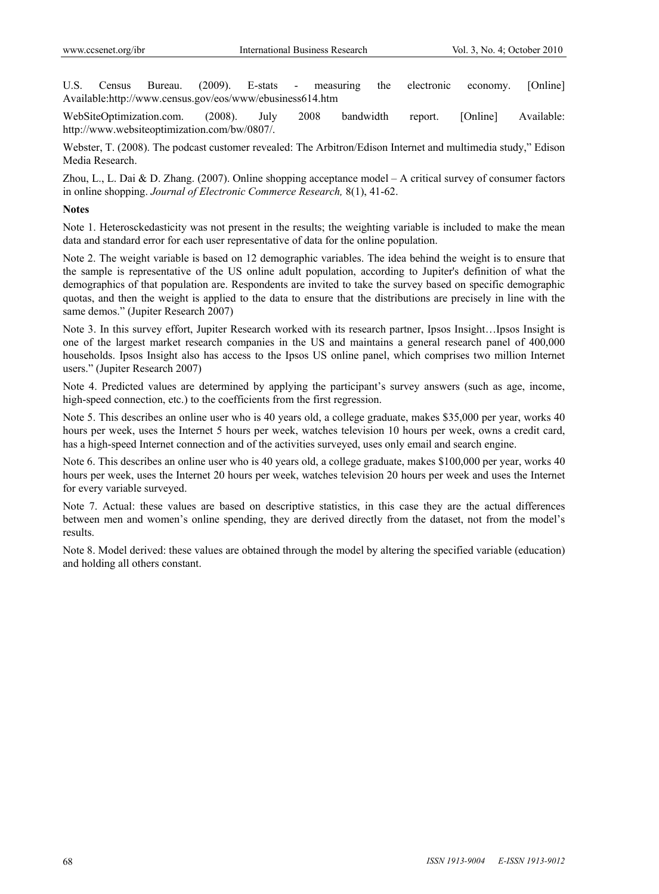U.S. Census Bureau. (2009). E-stats - measuring the electronic economy. [Online] Available:http://www.census.gov/eos/www/ebusiness614.htm

WebSiteOptimization.com. (2008). July 2008 bandwidth report. [Online] Available: http://www.websiteoptimization.com/bw/0807/.

Webster, T. (2008). The podcast customer revealed: The Arbitron/Edison Internet and multimedia study," Edison Media Research.

Zhou, L., L. Dai & D. Zhang. (2007). Online shopping acceptance model – A critical survey of consumer factors in online shopping. *Journal of Electronic Commerce Research,* 8(1), 41-62.

#### **Notes**

Note 1. Heterosckedasticity was not present in the results; the weighting variable is included to make the mean data and standard error for each user representative of data for the online population.

Note 2. The weight variable is based on 12 demographic variables. The idea behind the weight is to ensure that the sample is representative of the US online adult population, according to Jupiter's definition of what the demographics of that population are. Respondents are invited to take the survey based on specific demographic quotas, and then the weight is applied to the data to ensure that the distributions are precisely in line with the same demos." (Jupiter Research 2007)

Note 3. In this survey effort, Jupiter Research worked with its research partner, Ipsos Insight…Ipsos Insight is one of the largest market research companies in the US and maintains a general research panel of 400,000 households. Ipsos Insight also has access to the Ipsos US online panel, which comprises two million Internet users." (Jupiter Research 2007)

Note 4. Predicted values are determined by applying the participant's survey answers (such as age, income, high-speed connection, etc.) to the coefficients from the first regression.

Note 5. This describes an online user who is 40 years old, a college graduate, makes \$35,000 per year, works 40 hours per week, uses the Internet 5 hours per week, watches television 10 hours per week, owns a credit card, has a high-speed Internet connection and of the activities surveyed, uses only email and search engine.

Note 6. This describes an online user who is 40 years old, a college graduate, makes \$100,000 per year, works 40 hours per week, uses the Internet 20 hours per week, watches television 20 hours per week and uses the Internet for every variable surveyed.

Note 7. Actual: these values are based on descriptive statistics, in this case they are the actual differences between men and women's online spending, they are derived directly from the dataset, not from the model's results.

Note 8. Model derived: these values are obtained through the model by altering the specified variable (education) and holding all others constant.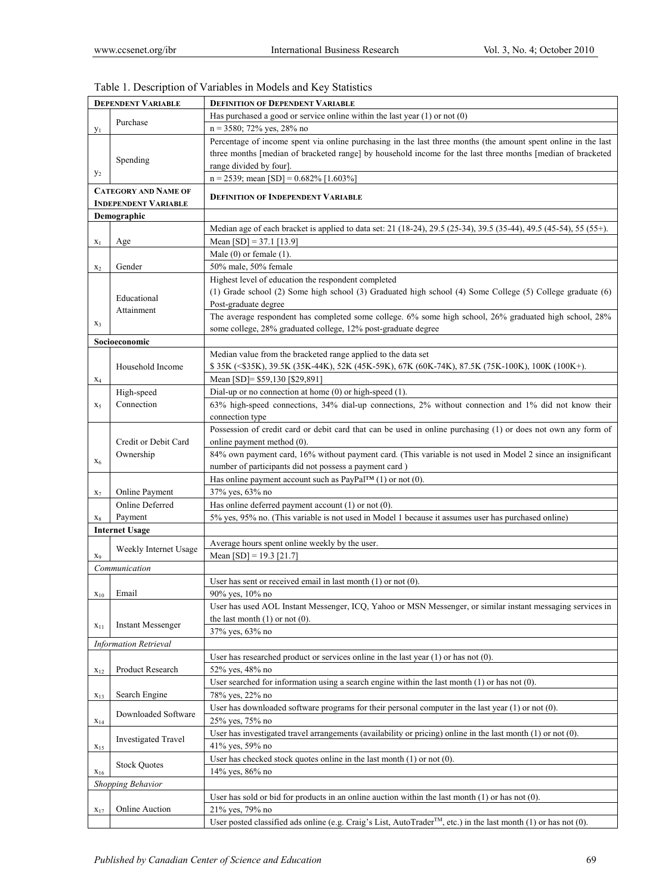### Table 1. Description of Variables in Models and Key Statistics

| <b>DEPENDENT VARIABLE</b> |                              | <b>DEFINITION OF DEPENDENT VARIABLE</b>                                                                                      |  |  |  |  |  |
|---------------------------|------------------------------|------------------------------------------------------------------------------------------------------------------------------|--|--|--|--|--|
|                           | Purchase                     | Has purchased a good or service online within the last year $(1)$ or not $(0)$                                               |  |  |  |  |  |
| y <sub>1</sub>            |                              | $n = 3580$ ; 72% yes, 28% no                                                                                                 |  |  |  |  |  |
|                           |                              | Percentage of income spent via online purchasing in the last three months (the amount spent online in the last               |  |  |  |  |  |
|                           |                              | three months [median of bracketed range] by household income for the last three months [median of bracketed                  |  |  |  |  |  |
|                           | Spending                     | range divided by four].                                                                                                      |  |  |  |  |  |
| $y_2$                     |                              | $n = 2539$ ; mean [SD] = 0.682% [1.603%]                                                                                     |  |  |  |  |  |
|                           | <b>CATEGORY AND NAME OF</b>  |                                                                                                                              |  |  |  |  |  |
|                           | <b>INDEPENDENT VARIABLE</b>  | <b>DEFINITION OF INDEPENDENT VARIABLE</b>                                                                                    |  |  |  |  |  |
|                           | Demographic                  |                                                                                                                              |  |  |  |  |  |
|                           |                              | Median age of each bracket is applied to data set: 21 (18-24), 29.5 (25-34), 39.5 (35-44), 49.5 (45-54), 55 (55+).           |  |  |  |  |  |
| X <sub>1</sub>            | Age                          | Mean $[SD] = 37.1 [13.9]$                                                                                                    |  |  |  |  |  |
|                           |                              | Male $(0)$ or female $(1)$ .                                                                                                 |  |  |  |  |  |
| $x_2$                     | Gender                       | 50% male, 50% female                                                                                                         |  |  |  |  |  |
|                           |                              | Highest level of education the respondent completed                                                                          |  |  |  |  |  |
|                           |                              | (1) Grade school (2) Some high school (3) Graduated high school (4) Some College (5) College graduate (6)                    |  |  |  |  |  |
|                           | Educational                  | Post-graduate degree                                                                                                         |  |  |  |  |  |
|                           | Attainment                   | The average respondent has completed some college. 6% some high school, 26% graduated high school, 28%                       |  |  |  |  |  |
| $X_3$                     |                              | some college, 28% graduated college, 12% post-graduate degree                                                                |  |  |  |  |  |
|                           | Socioeconomic                |                                                                                                                              |  |  |  |  |  |
|                           |                              | Median value from the bracketed range applied to the data set                                                                |  |  |  |  |  |
|                           | Household Income             | \$35K (<\$35K), 39.5K (35K-44K), 52K (45K-59K), 67K (60K-74K), 87.5K (75K-100K), 100K (100K+).                               |  |  |  |  |  |
| $X_4$                     |                              | Mean [SD]= \$59,130 [\$29,891]                                                                                               |  |  |  |  |  |
|                           | High-speed                   | Dial-up or no connection at home (0) or high-speed (1).                                                                      |  |  |  |  |  |
| $X_5$                     | Connection                   | 63% high-speed connections, 34% dial-up connections, 2% without connection and 1% did not know their                         |  |  |  |  |  |
|                           |                              | connection type                                                                                                              |  |  |  |  |  |
|                           |                              | Possession of credit card or debit card that can be used in online purchasing (1) or does not own any form of                |  |  |  |  |  |
|                           | Credit or Debit Card         | online payment method (0).                                                                                                   |  |  |  |  |  |
|                           | Ownership                    | 84% own payment card, 16% without payment card. (This variable is not used in Model 2 since an insignificant                 |  |  |  |  |  |
| $X_6$                     |                              | number of participants did not possess a payment card)                                                                       |  |  |  |  |  |
|                           |                              | Has online payment account such as $PayPalTM(1)$ or not (0).                                                                 |  |  |  |  |  |
| $X_7$                     | Online Payment               | 37% yes, 63% no                                                                                                              |  |  |  |  |  |
|                           | Online Deferred              | Has online deferred payment account $(1)$ or not $(0)$ .                                                                     |  |  |  |  |  |
|                           | Payment                      | 5% yes, 95% no. (This variable is not used in Model 1 because it assumes user has purchased online)                          |  |  |  |  |  |
| $X_8$                     | <b>Internet Usage</b>        |                                                                                                                              |  |  |  |  |  |
|                           |                              | Average hours spent online weekly by the user.                                                                               |  |  |  |  |  |
|                           | Weekly Internet Usage        |                                                                                                                              |  |  |  |  |  |
| X <sub>9</sub>            |                              | Mean $[SD] = 19.3 [21.7]$                                                                                                    |  |  |  |  |  |
|                           | Communication                |                                                                                                                              |  |  |  |  |  |
|                           |                              | User has sent or received email in last month $(1)$ or not $(0)$ .                                                           |  |  |  |  |  |
|                           | $x_{10}$ Email               | 90% yes, 10% no                                                                                                              |  |  |  |  |  |
|                           |                              | User has used AOL Instant Messenger, ICQ, Yahoo or MSN Messenger, or similar instant messaging services in                   |  |  |  |  |  |
| $x_{11}$                  | <b>Instant Messenger</b>     | the last month $(1)$ or not $(0)$ .                                                                                          |  |  |  |  |  |
|                           |                              | 37% yes, 63% no                                                                                                              |  |  |  |  |  |
|                           | <b>Information Retrieval</b> |                                                                                                                              |  |  |  |  |  |
|                           |                              | User has researched product or services online in the last year $(1)$ or has not $(0)$ .                                     |  |  |  |  |  |
| $X_{12}$                  | Product Research             | 52% yes, 48% no                                                                                                              |  |  |  |  |  |
|                           |                              | User searched for information using a search engine within the last month $(1)$ or has not $(0)$ .                           |  |  |  |  |  |
| $X_{13}$                  | Search Engine                | 78% yes, 22% no                                                                                                              |  |  |  |  |  |
|                           | Downloaded Software          | User has downloaded software programs for their personal computer in the last year $(1)$ or not $(0)$ .                      |  |  |  |  |  |
| $X_{14}$                  |                              | 25% yes, 75% no                                                                                                              |  |  |  |  |  |
|                           |                              | User has investigated travel arrangements (availability or pricing) online in the last month $(1)$ or not $(0)$ .            |  |  |  |  |  |
| $X_{15}$                  | <b>Investigated Travel</b>   | 41% yes, 59% no                                                                                                              |  |  |  |  |  |
|                           |                              | User has checked stock quotes online in the last month $(1)$ or not $(0)$ .                                                  |  |  |  |  |  |
| $X_{16}$                  | <b>Stock Quotes</b>          | 14% yes, 86% no                                                                                                              |  |  |  |  |  |
|                           | <b>Shopping Behavior</b>     |                                                                                                                              |  |  |  |  |  |
|                           |                              | User has sold or bid for products in an online auction within the last month $(1)$ or has not $(0)$ .                        |  |  |  |  |  |
| $x_{17}$                  | Online Auction               | 21% yes, 79% no                                                                                                              |  |  |  |  |  |
|                           |                              | User posted classified ads online (e.g. Craig's List, AutoTrader <sup>TM</sup> , etc.) in the last month (1) or has not (0). |  |  |  |  |  |
|                           |                              |                                                                                                                              |  |  |  |  |  |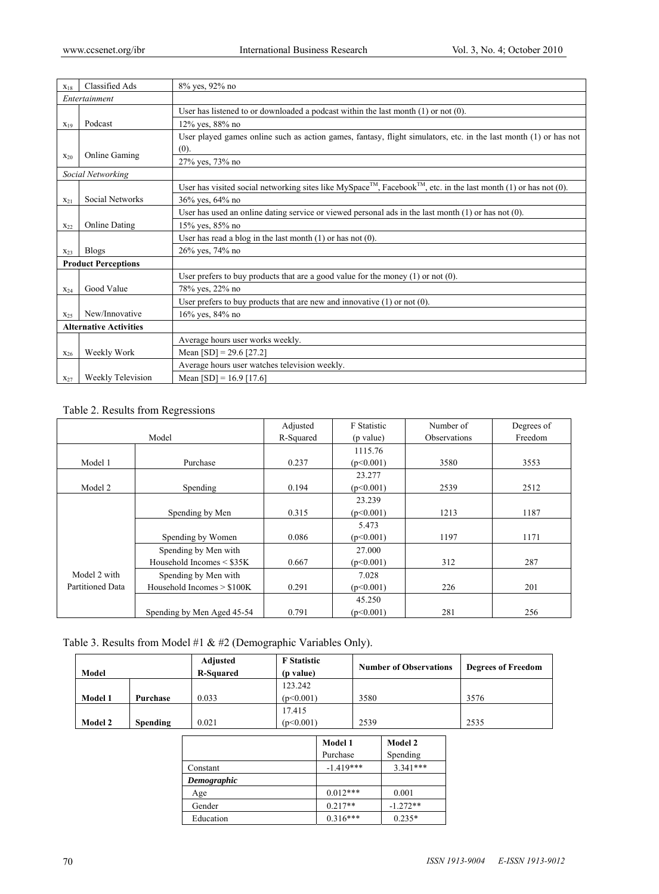| $X_{18}$                      | <b>Classified Ads</b>      | 8% yes, 92% no                                                                                                                            |
|-------------------------------|----------------------------|-------------------------------------------------------------------------------------------------------------------------------------------|
| Entertainment                 |                            |                                                                                                                                           |
|                               |                            | User has listened to or downloaded a podcast within the last month $(1)$ or not $(0)$ .                                                   |
| $X_{19}$                      | Podcast                    | 12% yes, 88% no                                                                                                                           |
|                               |                            | User played games online such as action games, fantasy, flight simulators, etc. in the last month (1) or has not                          |
|                               |                            | (0).                                                                                                                                      |
| $X_{20}$                      | Online Gaming              | 27% yes, 73% no                                                                                                                           |
|                               | Social Networking          |                                                                                                                                           |
|                               |                            | User has visited social networking sites like MySpace <sup>TM</sup> , Facebook <sup>TM</sup> , etc. in the last month (1) or has not (0). |
| $X_{21}$                      | Social Networks            | 36% yes, 64% no                                                                                                                           |
|                               |                            | User has used an online dating service or viewed personal ads in the last month $(1)$ or has not $(0)$ .                                  |
| $X_{22}$                      | <b>Online Dating</b>       | 15% yes, 85% no                                                                                                                           |
|                               |                            | User has read a blog in the last month $(1)$ or has not $(0)$ .                                                                           |
| $X_{23}$                      | <b>Blogs</b>               | 26% yes, 74% no                                                                                                                           |
|                               | <b>Product Perceptions</b> |                                                                                                                                           |
|                               |                            | User prefers to buy products that are a good value for the money $(1)$ or not $(0)$ .                                                     |
| $X_{24}$                      | Good Value                 | 78% yes, 22% no                                                                                                                           |
|                               |                            | User prefers to buy products that are new and innovative $(1)$ or not $(0)$ .                                                             |
| $X_{25}$                      | New/Innovative             | 16% yes, 84% no                                                                                                                           |
| <b>Alternative Activities</b> |                            |                                                                                                                                           |
|                               |                            | Average hours user works weekly.                                                                                                          |
| $X_{26}$                      | Weekly Work                | Mean $[SD] = 29.6 [27.2]$                                                                                                                 |
|                               |                            | Average hours user watches television weekly.                                                                                             |
| $X_{27}$                      | Weekly Television          | Mean [SD] = 16.9 [17.6]                                                                                                                   |

# Table 2. Results from Regressions

|                         |                               | Adjusted  | F Statistic<br>Number of |              | Degrees of |
|-------------------------|-------------------------------|-----------|--------------------------|--------------|------------|
|                         | Model                         | R-Squared | (p value)                | Observations | Freedom    |
|                         |                               |           | 1115.76                  |              |            |
| Model 1                 | Purchase                      | 0.237     | (p<0.001)                | 3580         | 3553       |
|                         |                               |           | 23.277                   |              |            |
| Model 2                 | Spending                      | 0.194     | (p<0.001)                | 2539         | 2512       |
|                         |                               |           | 23.239                   |              |            |
|                         | Spending by Men               | 0.315     | (p<0.001)                | 1213         | 1187       |
|                         |                               |           | 5.473                    |              |            |
|                         | Spending by Women             | 0.086     | (p<0.001)                | 1197         | 1171       |
|                         | Spending by Men with          |           | 27,000                   |              |            |
|                         | Household Incomes $\le$ \$35K | 0.667     | (p<0.001)                | 312          | 287        |
| Model 2 with            | Spending by Men with          |           | 7.028                    |              |            |
| <b>Partitioned Data</b> | Household Incomes $> $100K$   | 0.291     | (p<0.001)                | 226          | 201        |
|                         |                               |           | 45.250                   |              |            |
|                         | Spending by Men Aged 45-54    | 0.791     | (p<0.001)                | 281          | 256        |

## Table 3. Results from Model #1 & #2 (Demographic Variables Only).

| Model          |                 | Adjusted<br><b>R-Squared</b> | <b>F</b> Statistic<br>( <i>p</i> value) | <b>Number of Observations</b> | <b>Degrees of Freedom</b> |
|----------------|-----------------|------------------------------|-----------------------------------------|-------------------------------|---------------------------|
|                |                 |                              | 123.242                                 |                               |                           |
| Model 1        | Purchase        | 0.033                        | (p<0.001)                               | 3580                          | 3576                      |
|                |                 |                              | 17.415                                  |                               |                           |
| <b>Model 2</b> | <b>Spending</b> | 0.021                        | (p<0.001)                               | 2539                          | 2535                      |

|             | <b>Model 1</b> | <b>Model 2</b> |
|-------------|----------------|----------------|
|             | Purchase       | Spending       |
| Constant    | $-1.419***$    | $3.341***$     |
| Demographic |                |                |
| Age         | $0.012***$     | 0.001          |
| Gender      | $0.217**$      | $-1.272**$     |
| Education   | $0.316***$     | $0.235*$       |